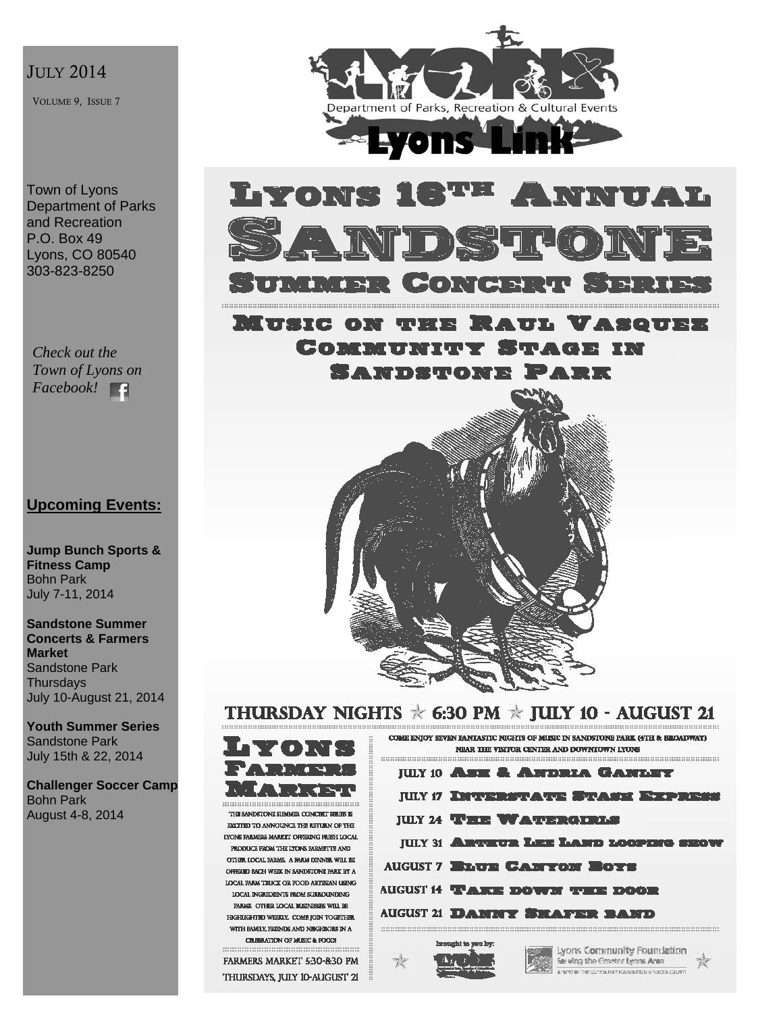### JULY 2014

VOLUME 9, ISSUE 7

Town of Lyons Department of Parks and Recreation P.O. Box 49 Lyons, CO 80540 303-823-8250

*Check out the Town of Lyons on Facebook!* 

## **Upcoming Events:**

**Jump Bunch Sports & Fitness Camp**  Bohn Park July 7-11, 2014

**Sandstone Summer Concerts & Farmers Market**  Sandstone Park **Thursdays** July 10-August 21, 2014

**Youth Summer Series**  Sandstone Park July 15th & 22, 2014

**Challenger Soccer Camp**  Bohn Park August 4-8, 2014





**MUSIC ON THE** VSOUPE w Connithity Stage in SANDSTONE PARK



# THURSDAY NIGHTS  $*$  6:30 PM  $*$  JULY 10 - AUGUST 21



THE SANDSTONE SUMMER CONCRET SHUIS E EXCITED TO ANNOUNCE THE RETURN OF THE **EYONE PARMERS MARKET OFFERING FRESH LOCAL** PRODUCE FROM THE LTONS EARMETTE AND OTHER LOCAL BARMS. A FAILM DENNIS, WILL BE OFFICID BACH WHIK IN SANDETONE PARK BY  $\Lambda$ LOCAL FARM TRUCK OR FOOD ARTISIAN USING LOCAL INGUIDENTS FLOM SUBBOUNDING FARAGE OTHER LOCAL BUSINESSES WILL BE **HIGHTAGHTHD WEEDLY, COMB FORN TOGETHER.** WITH BAMILY, FRENDS AND NIKHBORS IN A CHEBRATION OF MUSIC & POOLS

FARMERS MARKET 530-830 PM THURSDAYS, JULY 10-AUGUST 21

| COME ENJOY SEVEN EANIASTIC NIGHTS OF MUSIC IN SANDSTONE PARK (4TH & BROADWAY)<br>NEAR THE VISTICE CENTER AND DUWNTOWN LYUNG |                                             |
|-----------------------------------------------------------------------------------------------------------------------------|---------------------------------------------|
|                                                                                                                             |                                             |
|                                                                                                                             | <b>JULY 10 ASE &amp; ANDRIA GANLEY</b>      |
|                                                                                                                             | JULY 17 INTERSTATE STASE EXPRESS            |
|                                                                                                                             | <b>JULY 24 WHEN WATERGIRLS</b>              |
|                                                                                                                             | <b>JULY 31 ARTEUR LEE LAND LOOPERS SHOW</b> |
|                                                                                                                             | <b>AUGUST 7 ELUE CANTON BOYS</b>            |
|                                                                                                                             | <b>AUGUST 14 TAKE DOWN THE DOOR</b>         |
|                                                                                                                             | <b>AUGUST 21 DANNY SHAFER BAND</b>          |
|                                                                                                                             |                                             |
|                                                                                                                             | Temperature the concern Teams               |



Lyons Community Foundation Serving the Greeter Leans Area A 1970 BY THE CONVINTER FOUNDATION IS VACED COURTY

宣